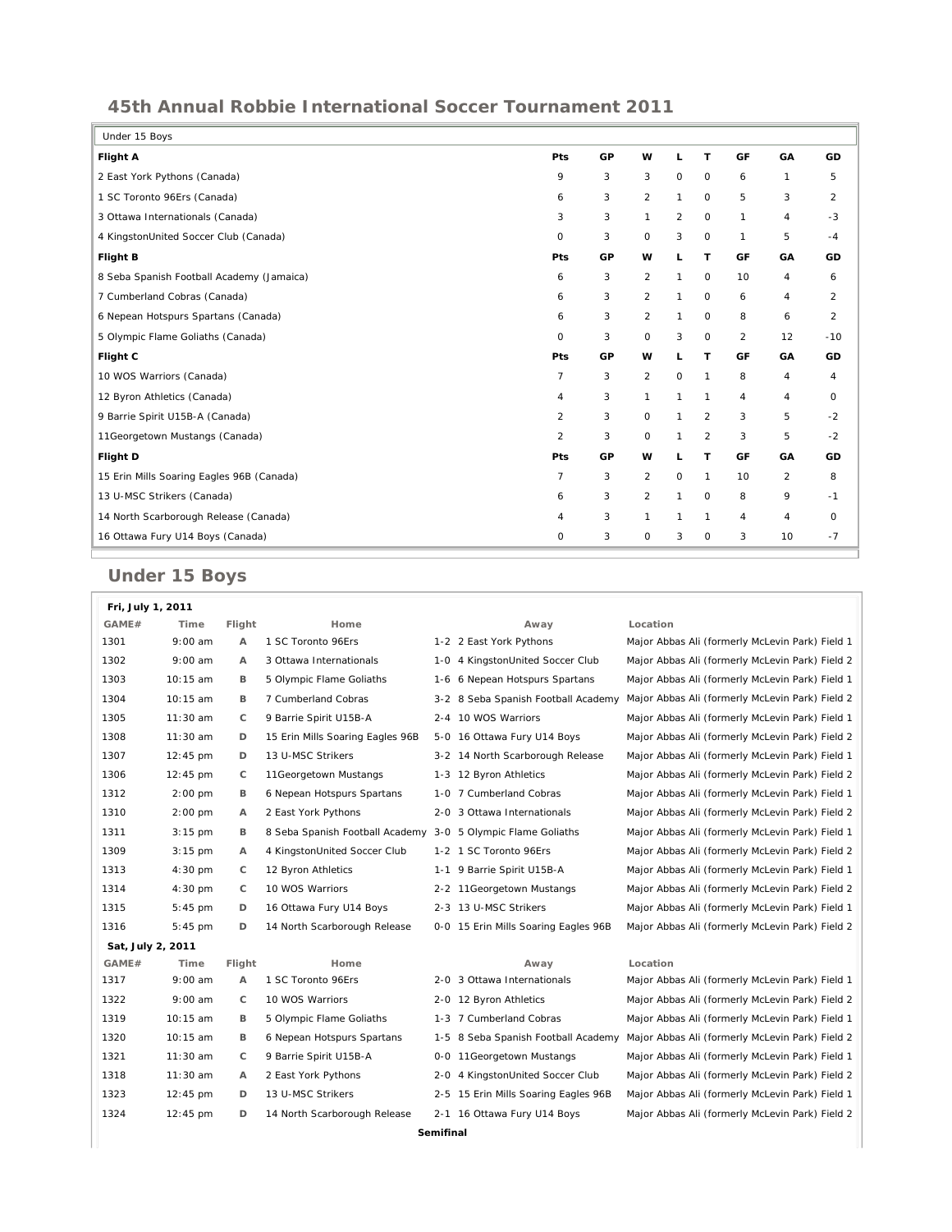## **45th Annual Robbie International Soccer Tournament 2011**

| Under 15 Boys                             |                |    |                |                     |                |              |                |                |
|-------------------------------------------|----------------|----|----------------|---------------------|----------------|--------------|----------------|----------------|
| <b>Flight A</b>                           | <b>Pts</b>     | GP | W              | L                   | T              | GF           | GA             | GD             |
| 2 East York Pythons (Canada)              | 9              | 3  | 3              | $\circ$             | 0              | 6            | 1              | 5              |
| 1 SC Toronto 96Ers (Canada)               | 6              | 3  | $\overline{2}$ | $\mathbf{1}$        | 0              | 5            | 3              | 2              |
| 3 Ottawa Internationals (Canada)          | 3              | 3  | $\mathbf{1}$   | 2                   | 0              | 1            | 4              | $-3$           |
| 4 KingstonUnited Soccer Club (Canada)     | $\circ$        | 3  | $\circ$        | 3                   | 0              | $\mathbf{1}$ | 5              | $-4$           |
| Flight B                                  | <b>Pts</b>     | GP | w              | L                   | T              | GF           | GA             | GD             |
| 8 Seba Spanish Football Academy (Jamaica) | 6              | 3  | $\overline{2}$ | $\mathbf{1}$        | $\circ$        | 10           | 4              | 6              |
| 7 Cumberland Cobras (Canada)              | 6              | 3  | 2              | $\mathbf{1}$        | 0              | 6            | 4              | 2              |
| 6 Nepean Hotspurs Spartans (Canada)       | 6              | 3  | $\overline{a}$ | 1                   | 0              | 8            | 6              | $\overline{2}$ |
| 5 Olympic Flame Goliaths (Canada)         | $\circ$        | 3  | 0              | 3                   | 0              | 2            | 12             | $-10$          |
| Flight C                                  | Pts            | GP | w              | L                   | T              | GF           | GA             | GD             |
| 10 WOS Warriors (Canada)                  | $\overline{7}$ | 3  | $\overline{2}$ | $\mathsf{O}\xspace$ | $\mathbf{1}$   | 8            | 4              | 4              |
| 12 Byron Athletics (Canada)               | 4              | 3  | $\mathbf{1}$   | $\mathbf{1}$        | 1              | 4            | 4              | O              |
| 9 Barrie Spirit U15B-A (Canada)           | 2              | 3  | 0              | $\mathbf{1}$        | 2              | 3            | 5              | $-2$           |
| 11Georgetown Mustangs (Canada)            | $\overline{2}$ | 3  | O              | $\mathbf{1}$        | $\overline{2}$ | 3            | 5              | $-2$           |
| Flight D                                  | <b>Pts</b>     | GP | w              | L                   | T              | GF           | GA             | GD             |
| 15 Erin Mills Soaring Eagles 96B (Canada) | $\overline{7}$ | 3  | $\overline{a}$ | $\circ$             | $\mathbf{1}$   | 10           | $\overline{2}$ | 8              |
| 13 U-MSC Strikers (Canada)                | 6              | 3  | $\overline{2}$ | $\mathbf{1}$        | $\mathbf 0$    | 8            | 9              | $-1$           |
| 14 North Scarborough Release (Canada)     | $\overline{4}$ | 3  | 1              | 1                   | 1              | 4            | $\overline{4}$ | 0              |
| 16 Ottawa Fury U14 Boys (Canada)          | $\circ$        | 3  | $\circ$        | 3                   | $\circ$        | 3            | 10             | $-7$           |

## **Under 15 Boys**

| Fri, July 1, 2011 |                    |                |                                  |     |                                      |                                                 |  |
|-------------------|--------------------|----------------|----------------------------------|-----|--------------------------------------|-------------------------------------------------|--|
| GAME#             | Time               | Flight         | Home                             |     | Away                                 | Location                                        |  |
| 1301              | $9:00$ am          | Α              | 1 SC Toronto 96Ers               |     | 1-2 2 East York Pythons              | Major Abbas Ali (formerly McLevin Park) Field 1 |  |
| 1302              | $9:00$ am          | $\overline{A}$ | 3 Ottawa Internationals          |     | 1-0 4 KingstonUnited Soccer Club     | Major Abbas Ali (formerly McLevin Park) Field 2 |  |
| 1303              | 10:15 am           | в              | 5 Olympic Flame Goliaths         |     | 1-6 6 Nepean Hotspurs Spartans       | Major Abbas Ali (formerly McLevin Park) Field 1 |  |
| 1304              | $10:15$ am         | В              | 7 Cumberland Cobras              |     | 3-2 8 Seba Spanish Football Academy  | Major Abbas Ali (formerly McLevin Park) Field 2 |  |
| 1305              | 11:30 am           | C              | 9 Barrie Spirit U15B-A           |     | 2-4 10 WOS Warriors                  | Major Abbas Ali (formerly McLevin Park) Field 1 |  |
| 1308              | 11:30 am           | D              | 15 Erin Mills Soaring Eagles 96B |     | 5-0 16 Ottawa Fury U14 Boys          | Major Abbas Ali (formerly McLevin Park) Field 2 |  |
| 1307              | 12:45 pm           | D              | 13 U-MSC Strikers                |     | 3-2 14 North Scarborough Release     | Major Abbas Ali (formerly McLevin Park) Field 1 |  |
| 1306              | $12:45 \text{ pm}$ | C              | 11 Georgetown Mustangs           |     | 1-3 12 Byron Athletics               | Major Abbas Ali (formerly McLevin Park) Field 2 |  |
| 1312              | $2:00$ pm          | в              | 6 Nepean Hotspurs Spartans       |     | 1-0 7 Cumberland Cobras              | Major Abbas Ali (formerly McLevin Park) Field 1 |  |
| 1310              | $2:00$ pm          | Α              | 2 East York Pythons              |     | 2-0 3 Ottawa Internationals          | Major Abbas Ali (formerly McLevin Park) Field 2 |  |
| 1311              | $3:15$ pm          | В              | 8 Seba Spanish Football Academy  |     | 3-0 5 Olympic Flame Goliaths         | Major Abbas Ali (formerly McLevin Park) Field 1 |  |
| 1309              | $3:15$ pm          | Α              | 4 KingstonUnited Soccer Club     |     | 1-2 1 SC Toronto 96Ers               | Major Abbas Ali (formerly McLevin Park) Field 2 |  |
| 1313              | $4:30$ pm          | C              | 12 Byron Athletics               |     | 1-1 9 Barrie Spirit U15B-A           | Major Abbas Ali (formerly McLevin Park) Field 1 |  |
| 1314              | $4:30$ pm          | C              | 10 WOS Warriors                  |     | 2-2 11 Georgetown Mustangs           | Major Abbas Ali (formerly McLevin Park) Field 2 |  |
| 1315              | $5:45 \text{ pm}$  | D              | 16 Ottawa Fury U14 Boys          |     | 2-3 13 U-MSC Strikers                | Major Abbas Ali (formerly McLevin Park) Field 1 |  |
| 1316              | $5:45$ pm          | D              | 14 North Scarborough Release     |     | 0-0 15 Erin Mills Soaring Eagles 96B | Major Abbas Ali (formerly McLevin Park) Field 2 |  |
| Sat, July 2, 2011 |                    |                |                                  |     |                                      |                                                 |  |
| GAME#             | Time               | Flight         | Home                             |     | Away                                 | Location                                        |  |
| 1317              | $9:00$ am          | $\overline{A}$ | 1 SC Toronto 96Ers               |     | 2-0 3 Ottawa Internationals          | Major Abbas Ali (formerly McLevin Park) Field 1 |  |
| 1322              | $9:00$ am          | С              | 10 WOS Warriors                  |     | 2-0 12 Byron Athletics               | Major Abbas Ali (formerly McLevin Park) Field 2 |  |
| 1319              | 10:15 am           | в              | 5 Olympic Flame Goliaths         |     | 1-3 7 Cumberland Cobras              | Major Abbas Ali (formerly McLevin Park) Field 1 |  |
| 1320              | $10:15$ am         | в              | 6 Nepean Hotspurs Spartans       |     | 1-5 8 Seba Spanish Football Academy  | Major Abbas Ali (formerly McLevin Park) Field 2 |  |
| 1321              | $11:30$ am         | C              | 9 Barrie Spirit U15B-A           |     | 0-0 11 Georgetown Mustangs           | Major Abbas Ali (formerly McLevin Park) Field 1 |  |
| 1318              | 11:30 am           | А              | 2 East York Pythons              | 2-0 | 4 KingstonUnited Soccer Club         | Major Abbas Ali (formerly McLevin Park) Field 2 |  |
| 1323              | 12:45 pm           | D              | 13 U-MSC Strikers                |     | 2-5 15 Erin Mills Soaring Eagles 96B | Major Abbas Ali (formerly McLevin Park) Field 1 |  |
| 1324              | $12:45$ pm         | D              | 14 North Scarborough Release     |     | 2-1 16 Ottawa Fury U14 Boys          | Major Abbas Ali (formerly McLevin Park) Field 2 |  |
| Semifinal         |                    |                |                                  |     |                                      |                                                 |  |